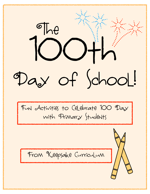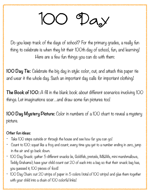## 100 Day

Do you keep track of the days of school? For the primary grades, a really fun thing to celebrate is when they hit their 100th day of school, fun, and learning! Here are a few fun things you can do with them:

**100 Day Tie:** Celebrate the big day in style: color, cut, and attach this paper tie and wear it the whole day. Such an important day calls for important clothing!

**The Book of 100:** A fill in the blank book about different scenarios involving 100 things. Let imaginations soar…and draw some fun pictures too!

**100 Day Mystery Picture:** Color in numbers of a 100 chart to reveal a mystery picture.

#### **Other fun ideas:**

- Take IOO steps outside or through the house and see how far you can go!
- Count to 100: squat like a frog and count; every time you get to a number ending in zero, jump in the air and go back down.
- 100 Day Snack: gather 5 different snacks (ie, Goldfish, pretzels, M&Ms, mini marshmallows, Teddy Grahams); have your child count out 20 of each into a bag so that their snack bag has, you guessed it, 100 pieces of food!
- 100 Day Chain: cut 20 strips of paper in 5 colors (total of 100 strips) and glue them together with your child into a chain of IOO colorful links!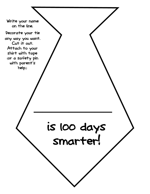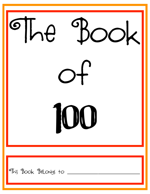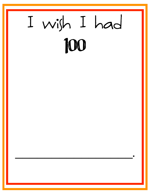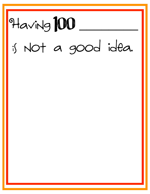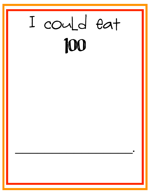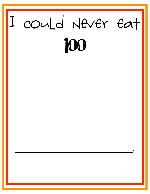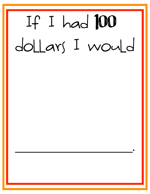# It I had  $100$ dollars I would

\_\_\_\_\_\_\_\_\_\_\_\_\_\_\_\_.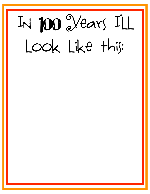### IN JOO Vears ILL look like this: 100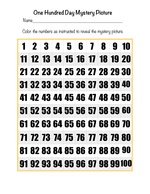### **One Hundred Day Mystery Picture**

Name\_\_\_\_\_\_\_\_\_\_\_\_\_\_\_\_\_\_\_\_\_\_\_\_\_\_\_\_\_\_\_\_\_\_\_

Color the numbers as instructed to reveal the mystery picture.

|  |  | 1 2 3 4 5 6 7 8 9 10          |  |                                |
|--|--|-------------------------------|--|--------------------------------|
|  |  | 11 12 13 14 15 16 17 18 19 20 |  |                                |
|  |  | 21 22 23 24 25 26 27 28 29 30 |  |                                |
|  |  | 31 32 33 34 35 36 37 38 39 40 |  |                                |
|  |  | 41 42 43 44 45 46 47 48 49 50 |  |                                |
|  |  | 51 52 53 54 55 56 57 58 59 60 |  |                                |
|  |  | 61 62 63 64 65 66 67 68 69 70 |  |                                |
|  |  | 71 72 73 74 75 76 77 78 79 80 |  |                                |
|  |  | 81828384858687888990          |  |                                |
|  |  |                               |  | 91 92 93 94 95 96 97 98 99 100 |